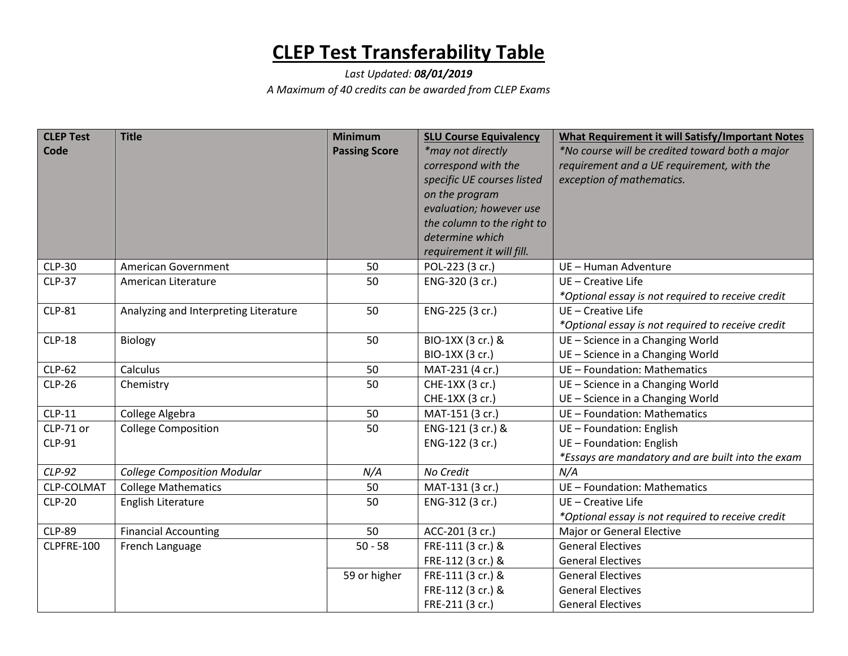## **CLEP Test Transferability Table**

## *Last Updated: 08/01/2019 A Maximum of 40 credits can be awarded from CLEP Exams*

| <b>CLEP Test</b> | <b>Title</b>                          | <b>Minimum</b>       | <b>SLU Course Equivalency</b> | What Requirement it will Satisfy/Important Notes  |
|------------------|---------------------------------------|----------------------|-------------------------------|---------------------------------------------------|
| Code             |                                       | <b>Passing Score</b> | *may not directly             | *No course will be credited toward both a major   |
|                  |                                       |                      | correspond with the           | requirement and a UE requirement, with the        |
|                  |                                       |                      | specific UE courses listed    | exception of mathematics.                         |
|                  |                                       |                      | on the program                |                                                   |
|                  |                                       |                      | evaluation; however use       |                                                   |
|                  |                                       |                      | the column to the right to    |                                                   |
|                  |                                       |                      | determine which               |                                                   |
|                  |                                       |                      | requirement it will fill.     |                                                   |
| <b>CLP-30</b>    | American Government                   | 50                   | POL-223 (3 cr.)               | UE - Human Adventure                              |
| <b>CLP-37</b>    | American Literature                   | 50                   | ENG-320 (3 cr.)               | UE - Creative Life                                |
|                  |                                       |                      |                               | *Optional essay is not required to receive credit |
| <b>CLP-81</b>    | Analyzing and Interpreting Literature | 50                   | ENG-225 (3 cr.)               | UE - Creative Life                                |
|                  |                                       |                      |                               | *Optional essay is not required to receive credit |
| <b>CLP-18</b>    | Biology                               | 50                   | BIO-1XX (3 cr.) &             | UE - Science in a Changing World                  |
|                  |                                       |                      | BIO-1XX (3 cr.)               | UE - Science in a Changing World                  |
| <b>CLP-62</b>    | Calculus                              | 50                   | MAT-231 (4 cr.)               | UE - Foundation: Mathematics                      |
| <b>CLP-26</b>    | Chemistry                             | 50                   | CHE-1XX (3 cr.)               | UE - Science in a Changing World                  |
|                  |                                       |                      | CHE-1XX (3 cr.)               | UE - Science in a Changing World                  |
| <b>CLP-11</b>    | College Algebra                       | 50                   | MAT-151 (3 cr.)               | UE - Foundation: Mathematics                      |
| CLP-71 or        | <b>College Composition</b>            | 50                   | ENG-121 (3 cr.) &             | UE - Foundation: English                          |
| <b>CLP-91</b>    |                                       |                      | ENG-122 (3 cr.)               | UE - Foundation: English                          |
|                  |                                       |                      |                               | *Essays are mandatory and are built into the exam |
| $CLP-92$         | <b>College Composition Modular</b>    | N/A                  | No Credit                     | N/A                                               |
| CLP-COLMAT       | <b>College Mathematics</b>            | 50                   | MAT-131 (3 cr.)               | UE - Foundation: Mathematics                      |
| <b>CLP-20</b>    | English Literature                    | 50                   | ENG-312 (3 cr.)               | UE - Creative Life                                |
|                  |                                       |                      |                               | *Optional essay is not required to receive credit |
| <b>CLP-89</b>    | <b>Financial Accounting</b>           | 50                   | ACC-201 (3 cr.)               | Major or General Elective                         |
| CLPFRE-100       | French Language                       | $50 - 58$            | FRE-111 (3 cr.) &             | <b>General Electives</b>                          |
|                  |                                       |                      | FRE-112 (3 cr.) &             | <b>General Electives</b>                          |
|                  |                                       | 59 or higher         | FRE-111 (3 cr.) &             | <b>General Electives</b>                          |
|                  |                                       |                      | FRE-112 (3 cr.) &             | <b>General Electives</b>                          |
|                  |                                       |                      | FRE-211 (3 cr.)               | <b>General Electives</b>                          |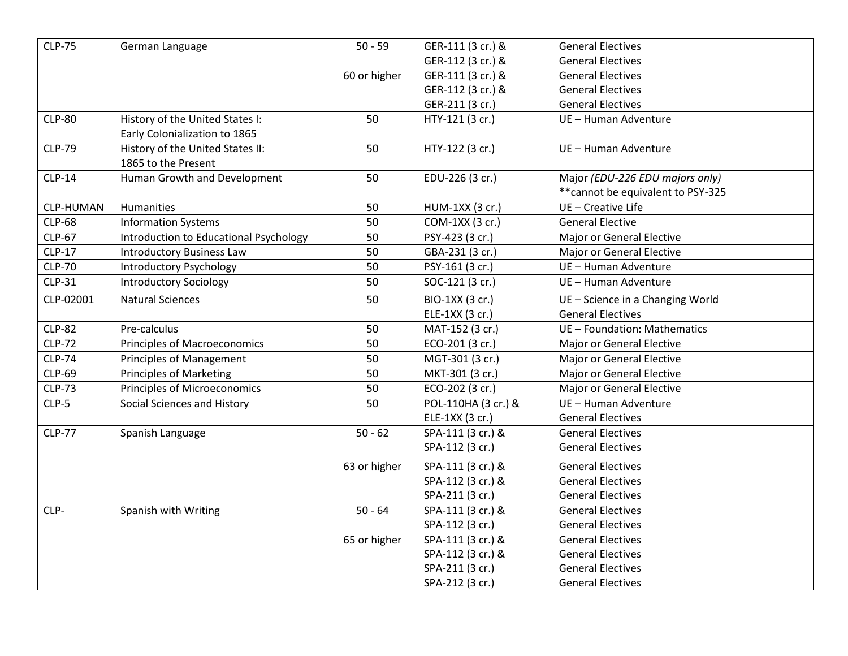| <b>CLP-75</b> | German Language                        | $50 - 59$            | GER-111 (3 cr.) &   | <b>General Electives</b>           |
|---------------|----------------------------------------|----------------------|---------------------|------------------------------------|
|               |                                        |                      | GER-112 (3 cr.) &   | <b>General Electives</b>           |
|               |                                        | 60 or higher         | GER-111 (3 cr.) &   | <b>General Electives</b>           |
|               |                                        |                      | GER-112 (3 cr.) &   | <b>General Electives</b>           |
|               |                                        |                      | GER-211 (3 cr.)     | <b>General Electives</b>           |
| <b>CLP-80</b> | History of the United States I:        | 50                   | HTY-121 (3 cr.)     | UE - Human Adventure               |
|               | Early Colonialization to 1865          |                      |                     |                                    |
| <b>CLP-79</b> | History of the United States II:       | 50                   | HTY-122 (3 cr.)     | UE - Human Adventure               |
|               | 1865 to the Present                    |                      |                     |                                    |
| $CLP-14$      | Human Growth and Development           | 50                   | EDU-226 (3 cr.)     | Major (EDU-226 EDU majors only)    |
|               |                                        |                      |                     | ** cannot be equivalent to PSY-325 |
| CLP-HUMAN     | Humanities                             | 50                   | HUM-1XX (3 cr.)     | UE - Creative Life                 |
| <b>CLP-68</b> | <b>Information Systems</b>             | 50                   | COM-1XX (3 cr.)     | <b>General Elective</b>            |
| <b>CLP-67</b> | Introduction to Educational Psychology | 50                   | PSY-423 (3 cr.)     | Major or General Elective          |
| <b>CLP-17</b> | <b>Introductory Business Law</b>       | 50                   | GBA-231 (3 cr.)     | Major or General Elective          |
| <b>CLP-70</b> | <b>Introductory Psychology</b>         | 50                   | PSY-161 (3 cr.)     | UE - Human Adventure               |
| CLP-31        | <b>Introductory Sociology</b>          | 50                   | SOC-121 (3 cr.)     | UE - Human Adventure               |
| CLP-02001     | <b>Natural Sciences</b>                | 50                   | BIO-1XX (3 cr.)     | UE - Science in a Changing World   |
|               |                                        |                      | ELE-1XX (3 cr.)     | <b>General Electives</b>           |
| <b>CLP-82</b> | Pre-calculus                           | 50                   | MAT-152 (3 cr.)     | UE - Foundation: Mathematics       |
| <b>CLP-72</b> | <b>Principles of Macroeconomics</b>    | 50                   | ECO-201 (3 cr.)     | Major or General Elective          |
| <b>CLP-74</b> | <b>Principles of Management</b>        | 50                   | MGT-301 (3 cr.)     | Major or General Elective          |
| <b>CLP-69</b> | <b>Principles of Marketing</b>         | 50                   | MKT-301 (3 cr.)     | Major or General Elective          |
| <b>CLP-73</b> | Principles of Microeconomics           | 50                   | ECO-202 (3 cr.)     | Major or General Elective          |
| $CLP-5$       | Social Sciences and History            | 50                   | POL-110HA (3 cr.) & | UE - Human Adventure               |
|               |                                        |                      | ELE-1XX (3 cr.)     | <b>General Electives</b>           |
| <b>CLP-77</b> | Spanish Language                       | $\overline{50} - 62$ | SPA-111 (3 cr.) &   | <b>General Electives</b>           |
|               |                                        |                      | SPA-112 (3 cr.)     | <b>General Electives</b>           |
|               |                                        | 63 or higher         | SPA-111 (3 cr.) &   | <b>General Electives</b>           |
|               |                                        |                      | SPA-112 (3 cr.) &   | <b>General Electives</b>           |
|               |                                        |                      | SPA-211 (3 cr.)     | <b>General Electives</b>           |
| CLP-          | Spanish with Writing                   | $50 - 64$            | SPA-111 (3 cr.) &   | <b>General Electives</b>           |
|               |                                        |                      | SPA-112 (3 cr.)     | <b>General Electives</b>           |
|               |                                        | 65 or higher         | SPA-111 (3 cr.) &   | <b>General Electives</b>           |
|               |                                        |                      | SPA-112 (3 cr.) &   | <b>General Electives</b>           |
|               |                                        |                      | SPA-211 (3 cr.)     | <b>General Electives</b>           |
|               |                                        |                      | SPA-212 (3 cr.)     | <b>General Electives</b>           |